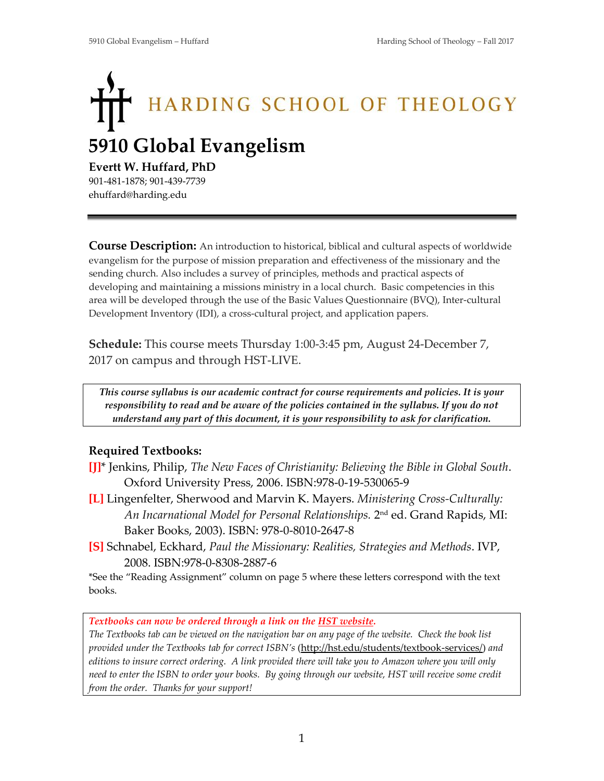# HARDING SCHOOL OF THEOLOGY **5910 Global Evangelism**

### **Evertt W. Huffard, PhD**

901-481-1878; 901-439-7739 ehuffard@harding.edu

**Course Description:** An introduction to historical, biblical and cultural aspects of worldwide evangelism for the purpose of mission preparation and effectiveness of the missionary and the sending church. Also includes a survey of principles, methods and practical aspects of developing and maintaining a missions ministry in a local church. Basic competencies in this area will be developed through the use of the Basic Values Questionnaire (BVQ), Inter-cultural Development Inventory (IDI), a cross-cultural project, and application papers.

**Schedule:** This course meets Thursday 1:00-3:45 pm, August 24-December 7, 2017 on campus and through HST-LIVE.

*This course syllabus is our academic contract for course requirements and policies. It is your responsibility to read and be aware of the policies contained in the syllabus. If you do not understand any part of this document, it is your responsibility to ask for clarification.*

# **Required Textbooks:**

- **[J]**\* Jenkins, Philip, *The New Faces of Christianity: Believing the Bible in Global South*. Oxford University Press, 2006. ISBN:978-0-19-530065-9
- **[L]** Lingenfelter, Sherwood and Marvin K. Mayers. *Ministering Cross-Culturally: An Incarnational Model for Personal Relationships.* 2 nd ed. Grand Rapids, MI: Baker Books, 2003). ISBN: 978-0-8010-2647-8
- **[S]** Schnabel, Eckhard, *Paul the Missionary: Realities, Strategies and Methods*. IVP, 2008. ISBN:978-0-8308-2887-6

\*See the "Reading Assignment" column on page 5 where these letters correspond with the text books.

*Textbooks can now be ordered through a link on the HST website.* 

*The Textbooks tab can be viewed on the navigation bar on any page of the website. Check the book list provided under the Textbooks tab for correct ISBN's* [\(http://hst.edu/students/textbook-services/\)](http://hst.edu/students/textbook-services/) *and editions to insure correct ordering. A link provided there will take you to Amazon where you will only need to enter the ISBN to order your books. By going through our website, HST will receive some credit from the order. Thanks for your support!*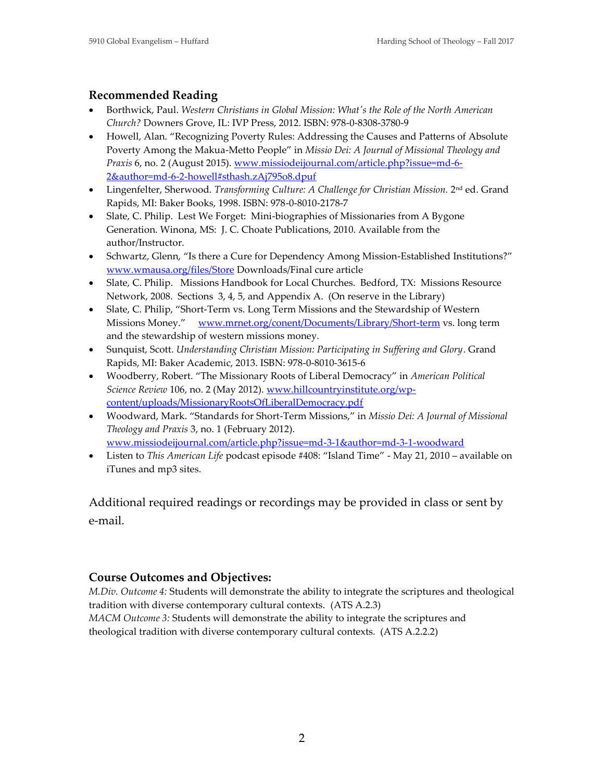## **Recommended Reading**

- Borthwick, Paul. *Western Christians in Global Mission: What's the Role of the North American Church?* Downers Grove, IL: IVP Press, 2012. ISBN: 978-0-8308-3780-9
- Howell, Alan. "Recognizing Poverty Rules: Addressing the Causes and Patterns of Absolute Poverty Among the Makua-Metto People" in *Missio Dei: A Journal of Missional Theology and Praxis* 6, no. 2 (August 2015). [www.missiodeijournal.com/article.php?issue=md-6-](http://www.missiodeijournal.com/article.php?issue=md-6-2&author=md-6-2-howell#sthash.zAj795o8.dpuf) [2&author=md-6-2-howell#sthash.zAj795o8.dpuf](http://www.missiodeijournal.com/article.php?issue=md-6-2&author=md-6-2-howell#sthash.zAj795o8.dpuf)
- Lingenfelter, Sherwood. Transforming Culture: A Challenge for Christian Mission. 2<sup>nd</sup> ed. Grand Rapids, MI: Baker Books, 1998. ISBN: 978-0-8010-2178-7
- Slate, C. Philip. Lest We Forget: Mini-biographies of Missionaries from A Bygone Generation. Winona, MS: J. C. Choate Publications, 2010. Available from the author/Instructor.
- Schwartz, Glenn, "Is there a Cure for Dependency Among Mission-Established Institutions?" [www.wmausa.org/files/Store](http://www.wmausa.org/files/Store) Downloads/Final cure article
- Slate, C. Philip. Missions Handbook for Local Churches. Bedford, TX: Missions Resource Network, 2008. Sections 3, 4, 5, and Appendix A. (On reserve in the Library)
- Slate, C. Philip, "Short-Term vs. Long Term Missions and the Stewardship of Western Missions Money." [www.mrnet.org/conent/Documents/Library/Short-term](http://www.mrnet.org/conent/Documents/Library/Short-term) vs. long term and the stewardship of western missions money.
- Sunquist, Scott. *Understanding Christian Mission: Participating in Suffering and Glory*. Grand Rapids, MI: Baker Academic, 2013. ISBN: 978-0-8010-3615-6
- Woodberry, Robert. "The Missionary Roots of Liberal Democracy" in *American Political Science Review* 106, no. 2 (May 2012). [www.hillcountryinstitute.org/wp](http://www.hillcountryinstitute.org/wp-content/uploads/MissionaryRootsOfLiberalDemocracy.pdf)[content/uploads/MissionaryRootsOfLiberalDemocracy.pdf](http://www.hillcountryinstitute.org/wp-content/uploads/MissionaryRootsOfLiberalDemocracy.pdf)
- Woodward, Mark. "Standards for Short-Term Missions," in *Missio Dei: A Journal of Missional Theology and Praxis* 3, no. 1 (February 2012). [www.missiodeijournal.com/article.php?issue=md-3-1&author=md-3-1-woodward](http://www.missiodeijournal.com/article.php?issue=md-3-1&author=md-3-1-woodward)
- Listen to *This American Life* podcast episode #408: "Island Time" May 21, 2010 available on iTunes and mp3 sites.

Additional required readings or recordings may be provided in class or sent by e-mail.

# **Course Outcomes and Objectives:**

*M.Div. Outcome 4:* Students will demonstrate the ability to integrate the scriptures and theological tradition with diverse contemporary cultural contexts. (ATS A.2.3) *MACM Outcome 3:* Students will demonstrate the ability to integrate the scriptures and theological tradition with diverse contemporary cultural contexts. (ATS A.2.2.2)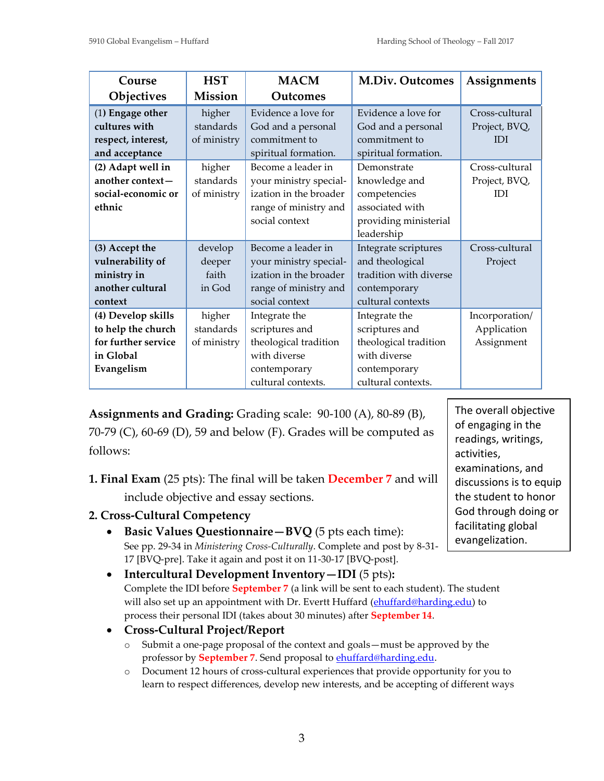| Course                                                                                         | <b>HST</b>                                   | <b>MACM</b>                                                                                                       | <b>M.Div. Outcomes</b>                                                                                         | Assignments                                                     |
|------------------------------------------------------------------------------------------------|----------------------------------------------|-------------------------------------------------------------------------------------------------------------------|----------------------------------------------------------------------------------------------------------------|-----------------------------------------------------------------|
| Objectives                                                                                     | Mission                                      | Outcomes                                                                                                          |                                                                                                                |                                                                 |
| (1) Engage other<br>cultures with<br>respect, interest,<br>and acceptance<br>(2) Adapt well in | higher<br>standards<br>of ministry<br>higher | Evidence a love for<br>God and a personal<br>commitment to<br>spiritual formation.<br>Become a leader in          | Evidence a love for<br>God and a personal<br>commitment to<br>spiritual formation.<br>Demonstrate              | Cross-cultural<br>Project, BVQ,<br><b>IDI</b><br>Cross-cultural |
| another context-<br>social-economic or<br>ethnic                                               | standards<br>of ministry                     | your ministry special-<br>ization in the broader<br>range of ministry and<br>social context                       | knowledge and<br>competencies<br>associated with<br>providing ministerial<br>leadership                        | Project, BVQ,<br><b>IDI</b>                                     |
| (3) Accept the<br>vulnerability of<br>ministry in<br>another cultural<br>context               | develop<br>deeper<br>faith<br>in God         | Become a leader in<br>your ministry special-<br>ization in the broader<br>range of ministry and<br>social context | Integrate scriptures<br>and theological<br>tradition with diverse<br>contemporary<br>cultural contexts         | Cross-cultural<br>Project                                       |
| (4) Develop skills<br>to help the church<br>for further service<br>in Global<br>Evangelism     | higher<br>standards<br>of ministry           | Integrate the<br>scriptures and<br>theological tradition<br>with diverse<br>contemporary<br>cultural contexts.    | Integrate the<br>scriptures and<br>theological tradition<br>with diverse<br>contemporary<br>cultural contexts. | Incorporation/<br>Application<br>Assignment                     |

**Assignments and Grading:** Grading scale: 90-100 (A), 80-89 (B), 70-79 (C), 60-69 (D), 59 and below (F). Grades will be computed as follows:

**1. Final Exam** (25 pts): The final will be taken **December 7** and will include objective and essay sections.

- **2. Cross-Cultural Competency** 
	- **Basic Values Questionnaire—BVQ** (5 pts each time): See pp. 29-34 in *Ministering Cross-Culturally*. Complete and post by 8-31- 17 [BVQ-pre]. Take it again and post it on 11-30-17 [BVQ-post].
	- **Intercultural Development Inventory—IDI** (5 pts)**:** Complete the IDI before **September 7** (a link will be sent to each student). The student will also set up an appointment with Dr. Evertt Huffard [\(ehuffard@harding.edu\)](mailto:ehuffard@harding.edu) to process their personal IDI (takes about 30 minutes) after **September 14**.
	- **Cross-Cultural Project/Report** 
		- o Submit a one-page proposal of the context and goals—must be approved by the professor by **September 7**. Send proposal to [ehuffard@harding.edu.](mailto:ehuffard@harding.edu)
		- o Document 12 hours of cross-cultural experiences that provide opportunity for you to learn to respect differences, develop new interests, and be accepting of different ways

The overall objective of engaging in the readings, writings, activities, examinations, and discussions is to equip the student to honor God through doing or facilitating global evangelization.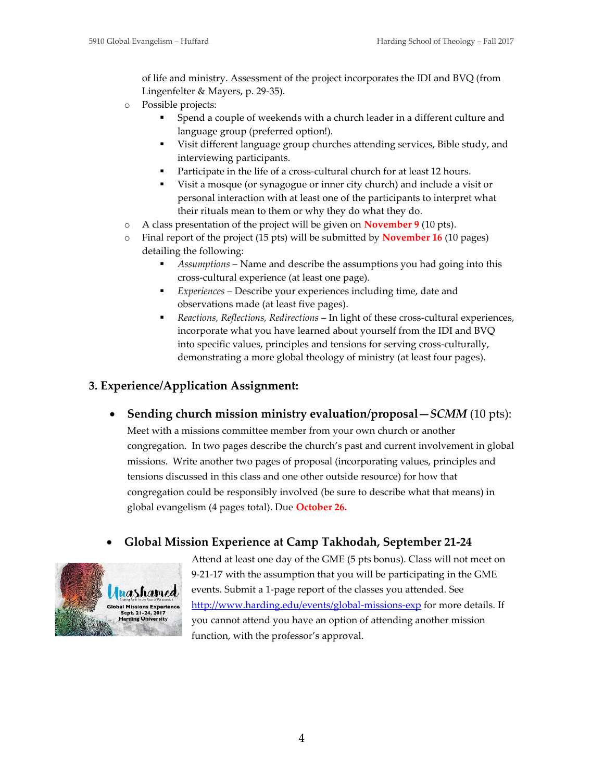of life and ministry. Assessment of the project incorporates the IDI and BVQ (from Lingenfelter & Mayers, p. 29-35).

- o Possible projects:
	- Spend a couple of weekends with a church leader in a different culture and language group (preferred option!).
	- Visit different language group churches attending services, Bible study, and interviewing participants.
	- Participate in the life of a cross-cultural church for at least 12 hours.
	- Visit a mosque (or synagogue or inner city church) and include a visit or personal interaction with at least one of the participants to interpret what their rituals mean to them or why they do what they do.
- o A class presentation of the project will be given on **November 9** (10 pts).
- o Final report of the project (15 pts) will be submitted by **November 16** (10 pages) detailing the following:
	- Assumptions Name and describe the assumptions you had going into this cross-cultural experience (at least one page).
	- *Experiences* Describe your experiences including time, date and observations made (at least five pages).
	- *Reactions, Reflections, Redirections* In light of these cross-cultural experiences, incorporate what you have learned about yourself from the IDI and BVQ into specific values, principles and tensions for serving cross-culturally, demonstrating a more global theology of ministry (at least four pages).

## **3. Experience/Application Assignment:**

• **Sending church mission ministry evaluation/proposal—***SCMM* (10 pts):

Meet with a missions committee member from your own church or another congregation. In two pages describe the church's past and current involvement in global missions. Write another two pages of proposal (incorporating values, principles and tensions discussed in this class and one other outside resource) for how that congregation could be responsibly involved (be sure to describe what that means) in global evangelism (4 pages total). Due **October 26.**

# • **Global Mission Experience at Camp Takhodah, September 21-24**



Attend at least one day of the GME (5 pts bonus). Class will not meet on 9-21-17 with the assumption that you will be participating in the GME events. Submit a 1-page report of the classes you attended. See <http://www.harding.edu/events/global-missions-exp> for more details. If you cannot attend you have an option of attending another mission function, with the professor's approval.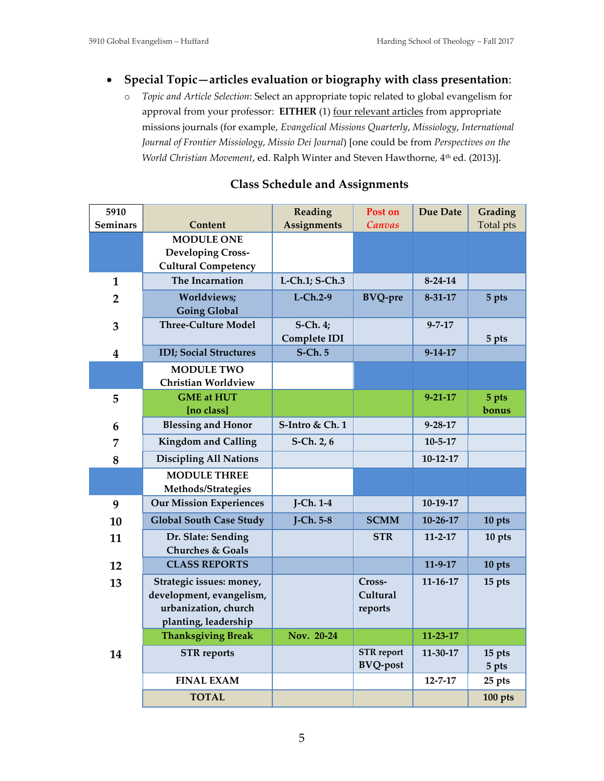## • **Special Topic—articles evaluation or biography with class presentation**:

o *Topic and Article Selection*: Select an appropriate topic related to global evangelism for approval from your professor: **EITHER** (1) <u>four relevant articles</u> from appropriate missions journals (for example, *Evangelical Missions Quarterly*, *Missiology*, *International Journal of Frontier Missiology*, *Missio Dei Journal*) [one could be from *Perspectives on the World Christian Movement, ed. Ralph Winter and Steven Hawthorne, 4<sup>th</sup> ed. (2013)].* 

| 5910                    |                                                                                                      | Reading                         | Post on                       | <b>Due Date</b> | Grading   |
|-------------------------|------------------------------------------------------------------------------------------------------|---------------------------------|-------------------------------|-----------------|-----------|
| <b>Seminars</b>         | Content                                                                                              | <b>Assignments</b>              | Canvas                        |                 | Total pts |
|                         | <b>MODULE ONE</b>                                                                                    |                                 |                               |                 |           |
|                         | <b>Developing Cross-</b>                                                                             |                                 |                               |                 |           |
|                         | <b>Cultural Competency</b>                                                                           |                                 |                               |                 |           |
| $\mathbf{1}$            | The Incarnation                                                                                      | L-Ch.1; S-Ch.3                  |                               | $8-24-14$       |           |
| $\overline{2}$          | Worldviews;<br><b>Going Global</b>                                                                   | $L$ -Ch.2-9                     | <b>BVQ-pre</b>                | $8 - 31 - 17$   | 5 pts     |
| 3                       | <b>Three-Culture Model</b>                                                                           | S-Ch. 4;<br><b>Complete IDI</b> |                               | $9 - 7 - 17$    | 5 pts     |
| $\overline{\mathbf{4}}$ | <b>IDI</b> ; Social Structures                                                                       | <b>S-Ch. 5</b>                  |                               | $9 - 14 - 17$   |           |
|                         | <b>MODULE TWO</b>                                                                                    |                                 |                               |                 |           |
|                         | <b>Christian Worldview</b>                                                                           |                                 |                               |                 |           |
| 5                       | <b>GME</b> at HUT                                                                                    |                                 |                               | $9 - 21 - 17$   | 5 pts     |
|                         | [no class]                                                                                           |                                 |                               |                 | bonus     |
| 6                       | <b>Blessing and Honor</b>                                                                            | S-Intro & Ch. 1                 |                               | $9 - 28 - 17$   |           |
| 7                       | <b>Kingdom and Calling</b>                                                                           | $S-Ch. 2, 6$                    |                               | $10 - 5 - 17$   |           |
| 8                       | <b>Discipling All Nations</b>                                                                        |                                 |                               | $10-12-17$      |           |
|                         | <b>MODULE THREE</b><br>Methods/Strategies                                                            |                                 |                               |                 |           |
| 9                       | <b>Our Mission Experiences</b>                                                                       | $J-Ch. 1-4$                     |                               | $10-19-17$      |           |
| 10                      | <b>Global South Case Study</b>                                                                       | $J-Ch. 5-8$                     | <b>SCMM</b>                   | $10 - 26 - 17$  | 10 pts    |
| 11                      | Dr. Slate: Sending<br><b>Churches &amp; Goals</b>                                                    |                                 | <b>STR</b>                    | $11 - 2 - 17$   | 10 pts    |
| 12                      | <b>CLASS REPORTS</b>                                                                                 |                                 |                               | $11-9-17$       | 10 pts    |
| 13                      | Strategic issues: money,<br>development, evangelism,<br>urbanization, church<br>planting, leadership |                                 | Cross-<br>Cultural<br>reports | $11 - 16 - 17$  | 15 pts    |
|                         | <b>Thanksgiving Break</b>                                                                            | Nov. 20-24                      |                               | $11 - 23 - 17$  |           |
| 14                      | <b>STR</b> reports                                                                                   |                                 | <b>STR</b> report             | $11 - 30 - 17$  | 15 pts    |
|                         |                                                                                                      |                                 | <b>BVQ-post</b>               |                 | 5 pts     |
|                         | <b>FINAL EXAM</b>                                                                                    |                                 |                               | $12 - 7 - 17$   | 25 pts    |
|                         | <b>TOTAL</b>                                                                                         |                                 |                               |                 | 100 pts   |

#### **Class Schedule and Assignments**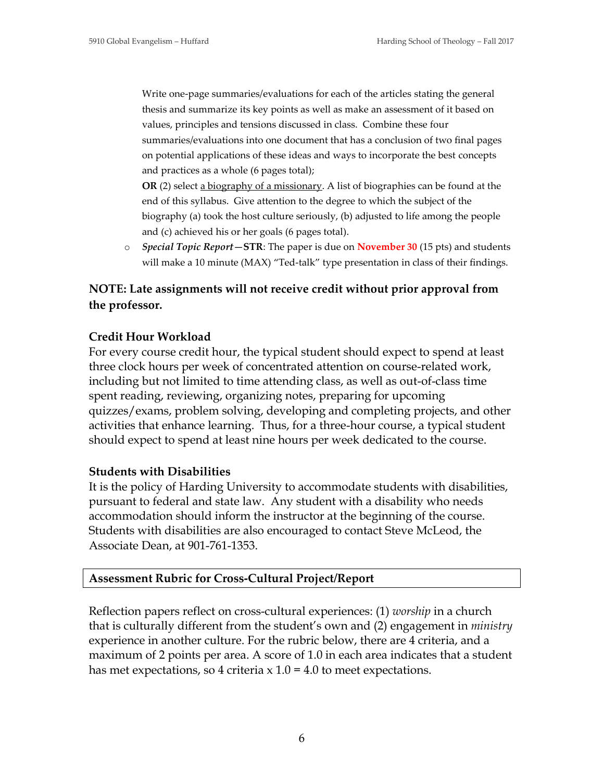Write one-page summaries/evaluations for each of the articles stating the general thesis and summarize its key points as well as make an assessment of it based on values, principles and tensions discussed in class. Combine these four summaries/evaluations into one document that has a conclusion of two final pages on potential applications of these ideas and ways to incorporate the best concepts and practices as a whole (6 pages total);

**OR** (2) select a biography of a missionary. A list of biographies can be found at the end of this syllabus. Give attention to the degree to which the subject of the biography (a) took the host culture seriously, (b) adjusted to life among the people and (c) achieved his or her goals (6 pages total).

o *Special Topic Report—***STR**: The paper is due on **November 30** (15 pts) and students will make a 10 minute (MAX) "Ted-talk" type presentation in class of their findings.

# **NOTE: Late assignments will not receive credit without prior approval from the professor.**

## **Credit Hour Workload**

For every course credit hour, the typical student should expect to spend at least three clock hours per week of concentrated attention on course-related work, including but not limited to time attending class, as well as out-of-class time spent reading, reviewing, organizing notes, preparing for upcoming quizzes/exams, problem solving, developing and completing projects, and other activities that enhance learning. Thus, for a three-hour course, a typical student should expect to spend at least nine hours per week dedicated to the course.

#### **Students with Disabilities**

It is the policy of Harding University to accommodate students with disabilities, pursuant to federal and state law. Any student with a disability who needs accommodation should inform the instructor at the beginning of the course. Students with disabilities are also encouraged to contact Steve McLeod, the Associate Dean, at 901-761-1353.

#### **Assessment Rubric for Cross-Cultural Project/Report**

Reflection papers reflect on cross-cultural experiences: (1) *worship* in a church that is culturally different from the student's own and (2) engagement in *ministry* experience in another culture. For the rubric below, there are 4 criteria, and a maximum of 2 points per area. A score of 1.0 in each area indicates that a student has met expectations, so 4 criteria  $x 1.0 = 4.0$  to meet expectations.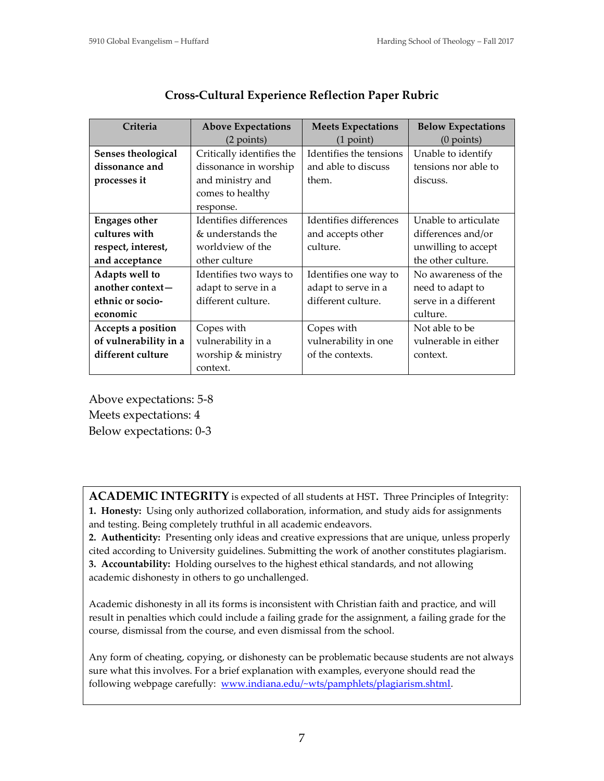| Criteria              | <b>Above Expectations</b> | <b>Meets Expectations</b> | <b>Below Expectations</b> |  |
|-----------------------|---------------------------|---------------------------|---------------------------|--|
|                       | (2 points)                | $(1$ point)               | $(0$ points)              |  |
| Senses theological    | Critically identifies the | Identifies the tensions   | Unable to identify        |  |
| dissonance and        | dissonance in worship     | and able to discuss       | tensions nor able to      |  |
| processes it          | and ministry and          | them.                     | discuss.                  |  |
|                       | comes to healthy          |                           |                           |  |
|                       | response.                 |                           |                           |  |
| <b>Engages other</b>  | Identifies differences    | Identifies differences    | Unable to articulate      |  |
| cultures with         | & understands the         | and accepts other         | differences and/or        |  |
| respect, interest,    | worldview of the          | culture.                  | unwilling to accept       |  |
| and acceptance        | other culture             |                           | the other culture.        |  |
| Adapts well to        | Identifies two ways to    | Identifies one way to     | No awareness of the       |  |
| another context-      | adapt to serve in a       | adapt to serve in a       | need to adapt to          |  |
| ethnic or socio-      | different culture.        | different culture.        | serve in a different      |  |
| economic              |                           |                           | culture.                  |  |
| Accepts a position    | Copes with                | Copes with                | Not able to be            |  |
| of vulnerability in a | vulnerability in a        | vulnerability in one      | vulnerable in either      |  |
| different culture     | worship & ministry        | of the contexts.          | context.                  |  |
|                       | context.                  |                           |                           |  |

# **Cross-Cultural Experience Reflection Paper Rubric**

Above expectations: 5-8 Meets expectations: 4

Below expectations: 0-3

**ACADEMIC INTEGRITY** is expected of all students at HST**.** Three Principles of Integrity:

**1. Honesty:** Using only authorized collaboration, information, and study aids for assignments and testing. Being completely truthful in all academic endeavors.

**2. Authenticity:** Presenting only ideas and creative expressions that are unique, unless properly cited according to University guidelines. Submitting the work of another constitutes plagiarism. **3. Accountability:** Holding ourselves to the highest ethical standards, and not allowing academic dishonesty in others to go unchallenged.

Academic dishonesty in all its forms is inconsistent with Christian faith and practice, and will result in penalties which could include a failing grade for the assignment, a failing grade for the course, dismissal from the course, and even dismissal from the school.

Any form of cheating, copying, or dishonesty can be problematic because students are not always sure what this involves. For a brief explanation with examples, everyone should read the following webpage carefully: [www.indiana.edu/~wts/pamphlets/plagiarism.shtml.](http://www.indiana.edu/~wts/pamphlets/plagiarism.shtml)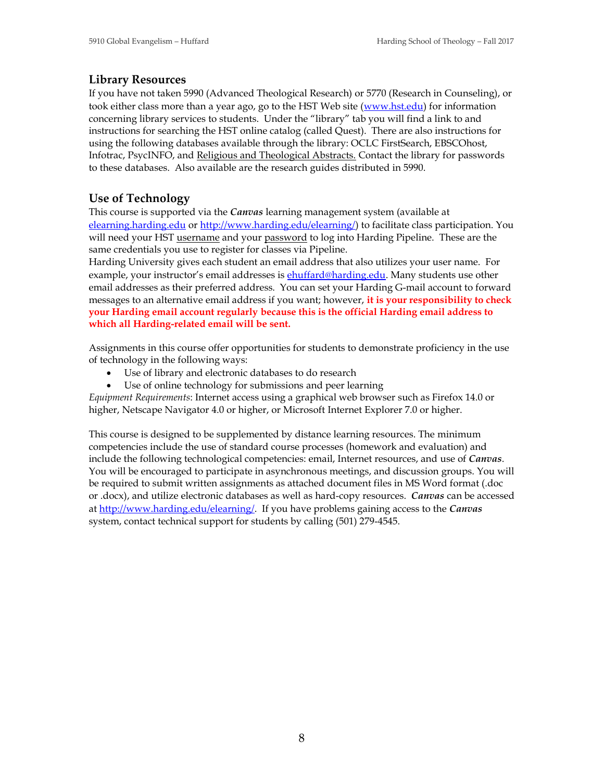#### **Library Resources**

If you have not taken 5990 (Advanced Theological Research) or 5770 (Research in Counseling), or took either class more than a year ago, go to the HST Web site ([www.hst.edu](http://www.hst.edu/)) for information concerning library services to students. Under the "library" tab you will find a link to and instructions for searching the HST online catalog (called Quest). There are also instructions for using the following databases available through the library: OCLC FirstSearch, EBSCOhost, Infotrac, PsycINFO, and Religious and Theological Abstracts. Contact the library for passwords to these databases. Also available are the research guides distributed in 5990.

#### **Use of Technology**

This course is supported via the *Canvas* learning management system (available at [elearning.harding.edu](http://www.harding.edu/elearning/) or <http://www.harding.edu/elearning/>) to facilitate class participation. You will need your HST username and your password to log into Harding Pipeline. These are the same credentials you use to register for classes via Pipeline.

Harding University gives each student an email address that also utilizes your user name. For example, your instructor's email addresses is **[ehuffard@harding.edu](mailto:ehuffard@harding.edu)**. Many students use other email addresses as their preferred address. You can set your Harding G-mail account to forward messages to an alternative email address if you want; however, **it is your responsibility to check your Harding email account regularly because this is the official Harding email address to which all Harding-related email will be sent.**

Assignments in this course offer opportunities for students to demonstrate proficiency in the use of technology in the following ways:

- Use of library and electronic databases to do research
- Use of online technology for submissions and peer learning

*Equipment Requirements*: Internet access using a graphical web browser such as Firefox 14.0 or higher, Netscape Navigator 4.0 or higher, or Microsoft Internet Explorer 7.0 or higher.

This course is designed to be supplemented by distance learning resources. The minimum competencies include the use of standard course processes (homework and evaluation) and include the following technological competencies: email, Internet resources, and use of *Canvas*. You will be encouraged to participate in asynchronous meetings, and discussion groups. You will be required to submit written assignments as attached document files in MS Word format (.doc or .docx), and utilize electronic databases as well as hard-copy resources. *Canvas* can be accessed at <http://www.harding.edu/elearning/>. If you have problems gaining access to the *Canvas* system, contact technical support for students by calling (501) 279-4545.